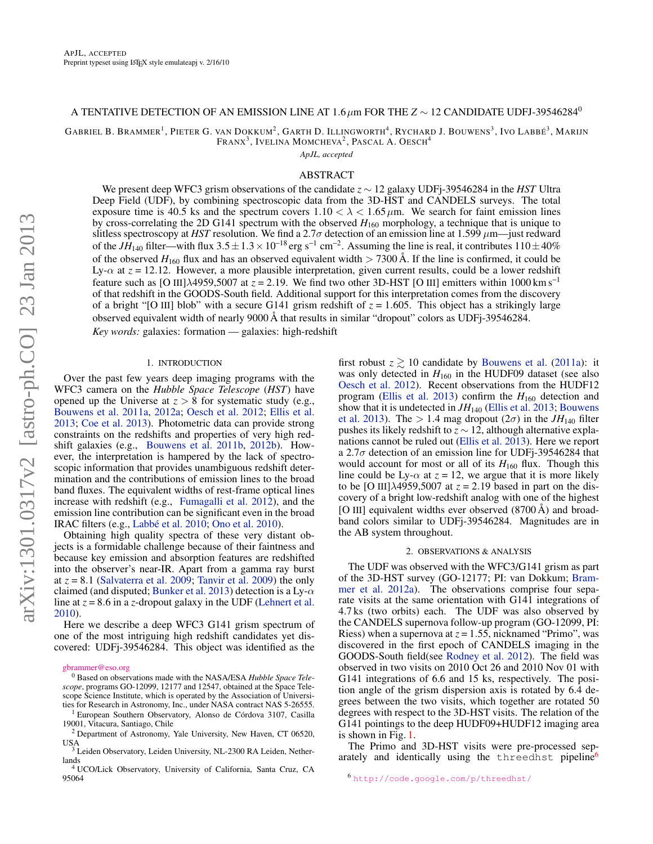## A TENTATIVE DETECTION OF AN EMISSION LINE AT  $1.6\,\mu$ m FOR THE  $Z \sim 12$  CANDIDATE UDFJ-39546284<sup>0</sup>

GABRIEL B. BRAMMER<sup>1</sup>, PIETER G. VAN DOKKUM<sup>2</sup>, GARTH D. ILLINGWORTH<sup>4</sup>, Rychard J. Bouwens<sup>3</sup>, Ivo Labbé<sup>3</sup>, Marijn Franx $^3$ , Ivelina Momcheva $^2$ , Pascal A. Oesch $^4$ 

*ApJL, accepted*

### ABSTRACT

We present deep WFC3 grism observations of the candidate *z* ∼ 12 galaxy UDFj-39546284 in the *HST* Ultra Deep Field (UDF), by combining spectroscopic data from the 3D-HST and CANDELS surveys. The total exposure time is 40.5 ks and the spectrum covers  $1.10 < \lambda < 1.65 \,\mu$ m. We search for faint emission lines by cross-correlating the 2D G141 spectrum with the observed  $H_{160}$  morphology, a technique that is unique to slitless spectroscopy at *HST* resolution. We find a 2.7 $\sigma$  detection of an emission line at 1.599  $\mu$ m—just redward of the *JH*<sub>140</sub> filter—with flux  $3.5 \pm 1.3 \times 10^{-18}$  erg s<sup>-1</sup> cm<sup>-2</sup>. Assuming the line is real, it contributes  $110 \pm 40\%$ of the observed  $H_{160}$  flux and has an observed equivalent width  $> 7300$  Å. If the line is confirmed, it could be Ly-α at *z* = 12.12. However, a more plausible interpretation, given current results, could be a lower redshift feature such as [O III] $\lambda$ 4959,5007 at  $z = 2.19$ . We find two other 3D-HST [O III] emitters within 1000 km s<sup>-1</sup> of that redshift in the GOODS-South field. Additional support for this interpretation comes from the discovery of a bright "[O III] blob" with a secure G141 grism redshift of  $z = 1.605$ . This object has a strikingly large observed equivalent width of nearly 9000 Å that results in similar "dropout" colors as UDFj-39546284. *Key words:* galaxies: formation — galaxies: high-redshift

# 1. INTRODUCTION

Over the past few years deep imaging programs with the WFC3 camera on the *Hubble Space Telescope* (*HST*) have opened up the Universe at  $z > 8$  for systematic study (e.g., [Bouwens et al.](#page-4-0) [2011a,](#page-4-0) [2012a;](#page-4-1) [Oesch et al.](#page-5-0) [2012;](#page-5-0) [Ellis et al.](#page-4-2) [2013;](#page-4-2) [Coe et al.](#page-4-3) [2013\)](#page-4-3). Photometric data can provide strong constraints on the redshifts and properties of very high redshift galaxies (e.g., [Bouwens et al.](#page-4-4) [2011b,](#page-4-4) [2012b\)](#page-4-5). However, the interpretation is hampered by the lack of spectroscopic information that provides unambiguous redshift determination and the contributions of emission lines to the broad band fluxes. The equivalent widths of rest-frame optical lines increase with redshift (e.g., [Fumagalli et al.](#page-4-6) [2012\)](#page-4-6), and the emission line contribution can be significant even in the broad IRAC filters (e.g., [Labbé et al.](#page-4-7) [2010;](#page-4-7) [Ono et al.](#page-5-1) [2010\)](#page-5-1).

Obtaining high quality spectra of these very distant objects is a formidable challenge because of their faintness and because key emission and absorption features are redshifted into the observer's near-IR. Apart from a gamma ray burst at  $z = 8.1$  [\(Salvaterra et al.](#page-5-2) [2009;](#page-5-2) [Tanvir et al.](#page-5-3) [2009\)](#page-5-3) the only claimed (and disputed; [Bunker et al.](#page-4-8) [2013\)](#page-4-8) detection is a Ly- $\alpha$ line at  $z = 8.6$  in a *z*-dropout galaxy in the UDF [\(Lehnert et al.](#page-4-9) [2010\)](#page-4-9).

Here we describe a deep WFC3 G141 grism spectrum of one of the most intriguing high redshift candidates yet discovered: UDFj-39546284. This object was identified as the

<sup>1</sup> European Southern Observatory, Alonso de Córdova 3107, Casilla 19001, Vitacura, Santiago, Chile

first robust  $z \ge 10$  candidate by [Bouwens et al.](#page-4-0) [\(2011a\)](#page-4-0): it was only detected in  $H<sub>160</sub>$  in the HUDF09 dataset (see also [Oesch et al.](#page-5-0) [2012\)](#page-5-0). Recent observations from the HUDF12 program [\(Ellis et al.](#page-4-2) [2013\)](#page-4-2) confirm the  $H_{160}$  detection and show that it is undetected in  $JH_{140}$  [\(Ellis et al.](#page-4-2) [2013;](#page-4-2) [Bouwens](#page-4-10) [et al.](#page-4-10) [2013\)](#page-4-10). The  $> 1.4$  mag dropout  $(2\sigma)$  in the  $JH_{140}$  filter pushes its likely redshift to *z* ∼ 12, although alternative explanations cannot be ruled out [\(Ellis et al.](#page-4-2) [2013\)](#page-4-2). Here we report a 2.7 $\sigma$  detection of an emission line for UDFj-39546284 that would account for most or all of its  $H_{160}$  flux. Though this line could be Ly- $\alpha$  at  $z = 12$ , we argue that it is more likely to be [O III] $\lambda$ 4959,5007 at  $z = 2.19$  based in part on the discovery of a bright low-redshift analog with one of the highest [O III] equivalent widths ever observed (8700 Å) and broadband colors similar to UDFj-39546284. Magnitudes are in the AB system throughout.

### 2. OBSERVATIONS & ANALYSIS

<span id="page-0-1"></span>The UDF was observed with the WFC3/G141 grism as part of the 3D-HST survey (GO-12177; PI: van Dokkum; [Bram](#page-4-11)[mer et al.](#page-4-11) [2012a\)](#page-4-11). The observations comprise four separate visits at the same orientation with G141 integrations of 4.7 ks (two orbits) each. The UDF was also observed by the CANDELS supernova follow-up program (GO-12099, PI: Riess) when a supernova at  $z = 1.55$ , nicknamed "Primo", was discovered in the first epoch of CANDELS imaging in the GOODS-South field(see [Rodney et al.](#page-5-4) [2012\)](#page-5-4). The field was observed in two visits on 2010 Oct 26 and 2010 Nov 01 with G141 integrations of 6.6 and 15 ks, respectively. The position angle of the grism dispersion axis is rotated by 6.4 degrees between the two visits, which together are rotated 50 degrees with respect to the 3D-HST visits. The relation of the G141 pointings to the deep HUDF09+HUDF12 imaging area is shown in Fig. [1.](#page-1-0)

The Primo and 3D-HST visits were pre-processed sep-arately and identically using the threedhst pipeline<sup>[6](#page-0-0)</sup>

[gbrammer@eso.org](mailto:gbrammer@eso.org)

<sup>0</sup> Based on observations made with the NASA/ESA *Hubble Space Telescope*, programs GO-12099, 12177 and 12547, obtained at the Space Telescope Science Institute, which is operated by the Association of Universities for Research in Astronomy, Inc., under NASA contract NAS 5-26555.

<sup>2</sup> Department of Astronomy, Yale University, New Haven, CT 06520, USA <sup>3</sup> Leiden Observatory, Leiden University, NL-2300 RA Leiden, Nether-

lands <sup>4</sup> UCO/Lick Observatory, University of California, Santa Cruz, CA

<sup>95064</sup>

<span id="page-0-0"></span><sup>6</sup> <http://code.google.com/p/threedhst/>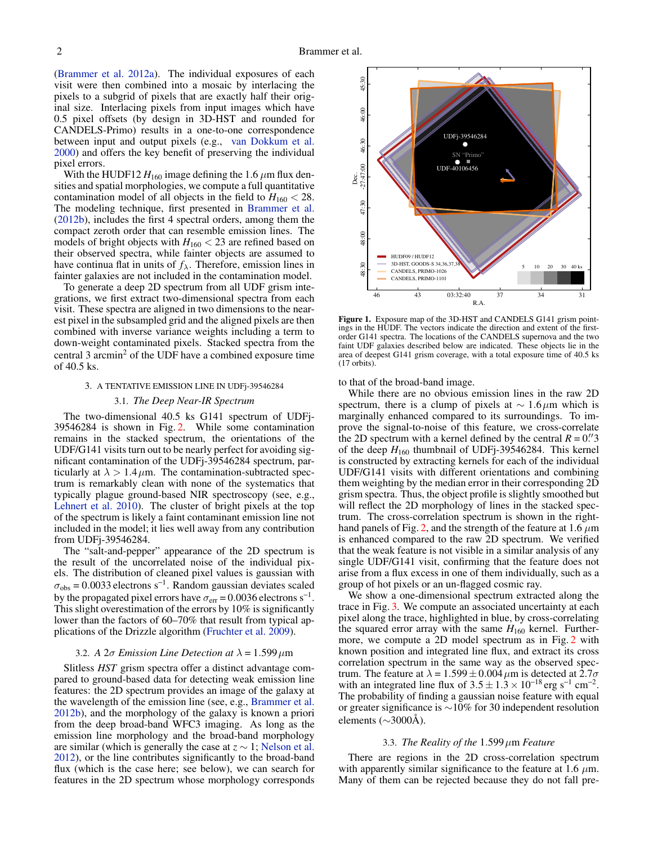[\(Brammer et al.](#page-4-11) [2012a\)](#page-4-11). The individual exposures of each visit were then combined into a mosaic by interlacing the pixels to a subgrid of pixels that are exactly half their original size. Interlacing pixels from input images which have 0.5 pixel offsets (by design in 3D-HST and rounded for CANDELS-Primo) results in a one-to-one correspondence between input and output pixels (e.g., [van Dokkum et al.](#page-5-5) [2000\)](#page-5-5) and offers the key benefit of preserving the individual pixel errors.

With the HUDF12  $H_{160}$  image defining the 1.6  $\mu$ m flux densities and spatial morphologies, we compute a full quantitative contamination model of all objects in the field to  $H_{160} < 28$ . The modeling technique, first presented in [Brammer et al.](#page-4-12) [\(2012b\)](#page-4-12), includes the first 4 spectral orders, among them the compact zeroth order that can resemble emission lines. The models of bright objects with  $H_{160}$  < 23 are refined based on their observed spectra, while fainter objects are assumed to have continua flat in units of  $f_{\lambda}$ . Therefore, emission lines in fainter galaxies are not included in the contamination model.

To generate a deep 2D spectrum from all UDF grism integrations, we first extract two-dimensional spectra from each visit. These spectra are aligned in two dimensions to the nearest pixel in the subsampled grid and the aligned pixels are then combined with inverse variance weights including a term to down-weight contaminated pixels. Stacked spectra from the central 3 arcmin<sup>2</sup> of the UDF have a combined exposure time of 40.5 ks.

## 3. A TENTATIVE EMISSION LINE IN UDFj-39546284

#### 3.1. *The Deep Near-IR Spectrum*

The two-dimensional 40.5 ks G141 spectrum of UDFj-39546284 is shown in Fig. [2.](#page-2-0) While some contamination remains in the stacked spectrum, the orientations of the UDF/G141 visits turn out to be nearly perfect for avoiding significant contamination of the UDFj-39546284 spectrum, particularly at  $\lambda > 1.4 \mu$ m. The contamination-subtracted spectrum is remarkably clean with none of the systematics that typically plague ground-based NIR spectroscopy (see, e.g., [Lehnert et al.](#page-4-9) [2010\)](#page-4-9). The cluster of bright pixels at the top of the spectrum is likely a faint contaminant emission line not included in the model; it lies well away from any contribution from UDFj-39546284.

The "salt-and-pepper" appearance of the 2D spectrum is the result of the uncorrelated noise of the individual pixels. The distribution of cleaned pixel values is gaussian with  $\sigma_{\rm obs} = 0.0033$  electrons s<sup>-1</sup>. Random gaussian deviates scaled by the propagated pixel errors have  $\sigma_{\text{err}} = 0.0036$  electrons s<sup>-1</sup>. This slight overestimation of the errors by 10% is significantly lower than the factors of 60–70% that result from typical applications of the Drizzle algorithm [\(Fruchter et al.](#page-4-13) [2009\)](#page-4-13).

## 3.2. *A* 2σ *Emission Line Detection at*  $\lambda = 1.599 \,\mu m$

Slitless *HST* grism spectra offer a distinct advantage compared to ground-based data for detecting weak emission line features: the 2D spectrum provides an image of the galaxy at the wavelength of the emission line (see, e.g., [Brammer et al.](#page-4-12) [2012b\)](#page-4-12), and the morphology of the galaxy is known a priori from the deep broad-band WFC3 imaging. As long as the emission line morphology and the broad-band morphology are similar (which is generally the case at  $z \sim 1$ ; [Nelson et al.](#page-5-6) [2012\)](#page-5-6), or the line contributes significantly to the broad-band flux (which is the case here; see below), we can search for features in the 2D spectrum whose morphology corresponds



<span id="page-1-0"></span>Figure 1. Exposure map of the 3D-HST and CANDELS G141 grism pointings in the HUDF. The vectors indicate the direction and extent of the firstorder G141 spectra. The locations of the CANDELS supernova and the two faint UDF galaxies described below are indicated. These objects lie in the area of deepest G141 grism coverage, with a total exposure time of 40.5 ks (17 orbits).

to that of the broad-band image.

While there are no obvious emission lines in the raw 2D spectrum, there is a clump of pixels at  $\sim 1.6 \mu$ m which is marginally enhanced compared to its surroundings. To improve the signal-to-noise of this feature, we cross-correlate the 2D spectrum with a kernel defined by the central  $R = 0$ .<sup>"</sup> of the deep  $H_{160}$  thumbnail of UDFj-39546284. This kernel is constructed by extracting kernels for each of the individual UDF/G141 visits with different orientations and combining them weighting by the median error in their corresponding 2D grism spectra. Thus, the object profile is slightly smoothed but will reflect the 2D morphology of lines in the stacked spectrum. The cross-correlation spectrum is shown in the right-hand panels of Fig. [2,](#page-2-0) and the strength of the feature at 1.6  $\mu$ m is enhanced compared to the raw 2D spectrum. We verified that the weak feature is not visible in a similar analysis of any single UDF/G141 visit, confirming that the feature does not arise from a flux excess in one of them individually, such as a group of hot pixels or an un-flagged cosmic ray.

We show a one-dimensional spectrum extracted along the trace in Fig. [3.](#page-2-1) We compute an associated uncertainty at each pixel along the trace, highlighted in blue, by cross-correlating the squared error array with the same  $H_{160}$  kernel. Furthermore, we compute a 2D model spectrum as in Fig. [2](#page-2-0) with known position and integrated line flux, and extract its cross correlation spectrum in the same way as the observed spectrum. The feature at  $\lambda = 1.599 \pm 0.004 \,\mu \text{m}$  is detected at  $2.7\sigma$ with an integrated line flux of  $3.5 \pm 1.3 \times 10^{-18}$  erg s<sup>-1</sup> cm<sup>-2</sup>. The probability of finding a gaussian noise feature with equal or greater significance is ∼10% for 30 independent resolution elements (∼3000Å).

### 3.3. *The Reality of the* 1.599µm *Feature*

<span id="page-1-1"></span>There are regions in the 2D cross-correlation spectrum with apparently similar significance to the feature at 1.6  $\mu$ m. Many of them can be rejected because they do not fall pre-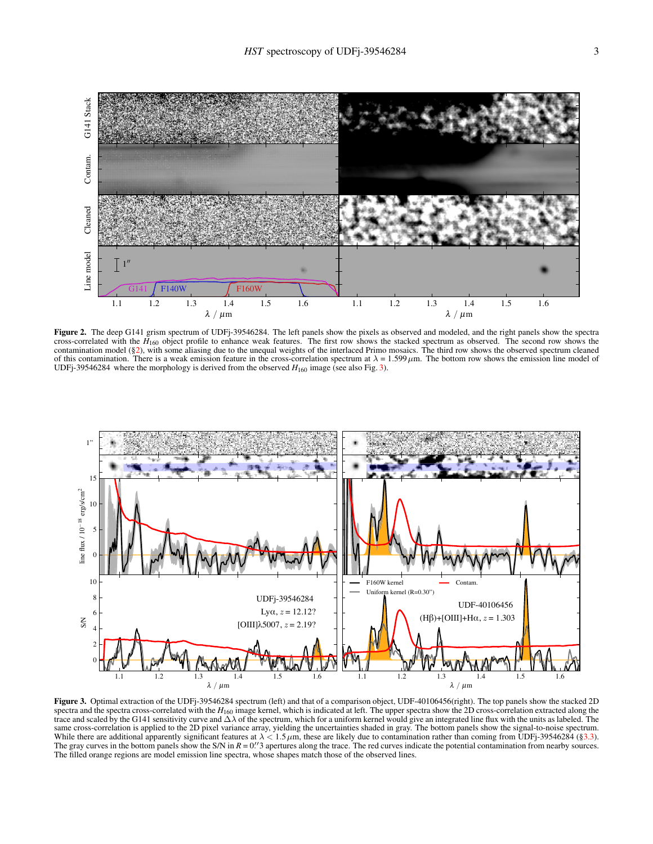

<span id="page-2-0"></span>Figure 2. The deep G141 grism spectrum of UDFj-39546284. The left panels show the pixels as observed and modeled, and the right panels show the spectra cross-correlated with the *H*<sub>160</sub> object profile to enhance weak features. The first row shows the stacked spectrum as observed. The second row shows the contamination model ([§2\)](#page-0-1), with some aliasing due to the unequal weights of the interlaced Primo mosaics. The third row shows the observed spectrum cleaned of this contamination. There is a weak emission feature in the cross-correlation spectrum at  $\lambda = 1.599 \,\mu$ m. The bottom row shows the emission line model of UDFj-39546284 where the morphology is derived from the observed  $H_{160}$  image (see also Fig. [3\)](#page-2-1).



<span id="page-2-1"></span>Figure 3. Optimal extraction of the UDFj-39546284 spectrum (left) and that of a comparison object, UDF-40106456(right). The top panels show the stacked 2D spectra and the spectra cross-correlated with the  $H_{160}$  image kernel, which is indicated at left. The upper spectra show the 2D cross-correlation extracted along the trace and scaled by the G141 sensitivity curve and  $\Delta\lambda$  of the spectrum, which for a uniform kernel would give an integrated line flux with the units as labeled. The same cross-correlation is applied to the 2D pixel variance array, yielding the uncertainties shaded in gray. The bottom panels show the signal-to-noise spectrum. While there are additional apparently significant features at  $\lambda < 1.5 \mu m$ , these are likely due to contamination rather than coming from UDFj-39546284 ([§3.3\)](#page-1-1). The gray curves in the bottom panels show the S/N in  $R = 0$ .<sup>1</sup> apertures along the trace. The red curves indicate the potential contamination from nearby sources. The filled orange regions are model emission line spectra, whose shapes match those of the observed lines.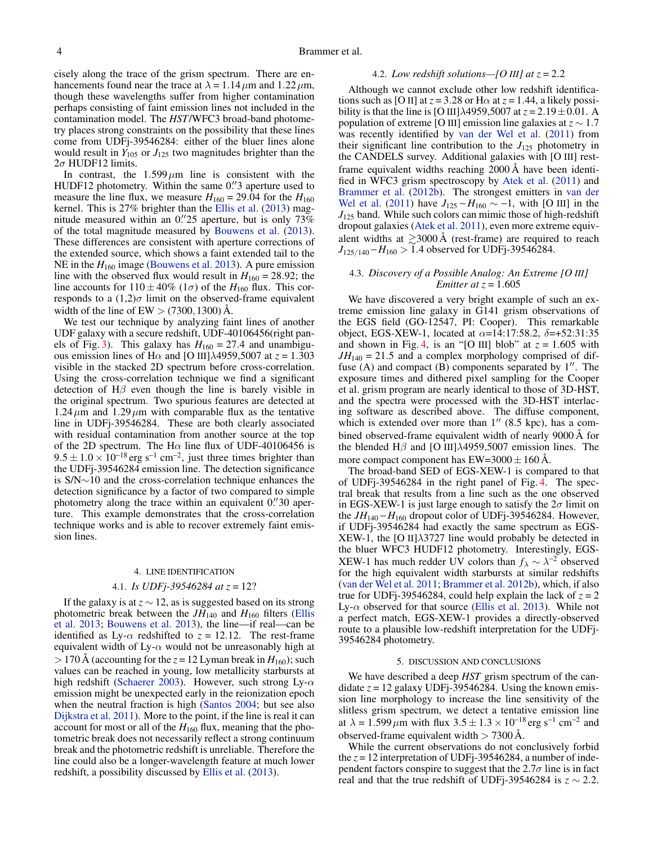cisely along the trace of the grism spectrum. There are enhancements found near the trace at  $\lambda = 1.14 \,\mu \text{m}$  and  $1.22 \,\mu \text{m}$ , though these wavelengths suffer from higher contamination perhaps consisting of faint emission lines not included in the contamination model. The *HST*/WFC3 broad-band photometry places strong constraints on the possibility that these lines come from UDFj-39546284: either of the bluer lines alone would result in  $Y_{105}$  or  $J_{125}$  two magnitudes brighter than the  $2\sigma$  HUDF12 limits.

In contrast, the  $1.599 \mu m$  line is consistent with the HUDF12 photometry. Within the same 0."3 aperture used to measure the line flux, we measure  $H_{160} = 29.04$  for the  $H_{160}$ kernel. This is 27% brighter than the [Ellis et al.](#page-4-2) [\(2013\)](#page-4-2) magnitude measured within an 0.  $25$  aperture, but is only  $73\%$ of the total magnitude measured by [Bouwens et al.](#page-4-10) [\(2013\)](#page-4-10). These differences are consistent with aperture corrections of the extended source, which shows a faint extended tail to the NE in the  $H_{160}$  image [\(Bouwens et al.](#page-4-10) [2013\)](#page-4-10). A pure emission line with the observed flux would result in  $H_{160} = 28.92$ ; the line accounts for  $110 \pm 40\%$  ( $1\sigma$ ) of the *H*<sub>160</sub> flux. This corresponds to a  $(1,2)$  $\sigma$  limit on the observed-frame equivalent width of the line of  $EW$  > (7300, 1300) A.

We test our technique by analyzing faint lines of another UDF galaxy with a secure redshift, UDF-40106456(right pan-els of Fig. [3\)](#page-2-1). This galaxy has  $H_{160} = 27.4$  and unambiguous emission lines of H $\alpha$  and [O III] $\lambda$ 4959,5007 at  $z = 1.303$ visible in the stacked 2D spectrum before cross-correlation. Using the cross-correlation technique we find a significant detection of  $H\beta$  even though the line is barely visible in the original spectrum. Two spurious features are detected at  $1.24 \mu m$  and  $1.29 \mu m$  with comparable flux as the tentative line in UDFj-39546284. These are both clearly associated with residual contamination from another source at the top of the 2D spectrum. The H $\alpha$  line flux of UDF-40106456 is  $9.5 \pm 1.0 \times 10^{-18}$  erg s<sup>-1</sup> cm<sup>-2</sup>, just three times brighter than the UDFj-39546284 emission line. The detection significance is S/N∼10 and the cross-correlation technique enhances the detection significance by a factor of two compared to simple photometry along the trace within an equivalent 0."30 aperture. This example demonstrates that the cross-correlation technique works and is able to recover extremely faint emission lines.

## 4. LINE IDENTIFICATION

# 4.1. *Is UDFj-39546284 at z* = 12?

If the galaxy is at  $z \sim 12$ , as is suggested based on its strong photometric break between the  $JH_{140}$  and  $H_{160}$  filters [\(Ellis](#page-4-2) [et al.](#page-4-2) [2013;](#page-4-2) [Bouwens et al.](#page-4-10) [2013\)](#page-4-10), the line—if real—can be identified as Ly- $\alpha$  redshifted to  $z = 12.12$ . The rest-frame equivalent width of Ly- $\alpha$  would not be unreasonably high at  $> 170$  Å (accounting for the  $z = 12$  Lyman break in  $H_{160}$ ); such values can be reached in young, low metallicity starbursts at high redshift [\(Schaerer](#page-5-7) [2003\)](#page-5-7). However, such strong Ly- $\alpha$ emission might be unexpected early in the reionization epoch when the neutral fraction is high [\(Santos](#page-5-8) [2004;](#page-5-8) but see also [Dijkstra et al.](#page-4-14) [2011\)](#page-4-14). More to the point, if the line is real it can account for most or all of the  $H_{160}$  flux, meaning that the photometric break does not necessarily reflect a strong continuum break and the photometric redshift is unreliable. Therefore the line could also be a longer-wavelength feature at much lower redshift, a possibility discussed by [Ellis et al.](#page-4-2) [\(2013\)](#page-4-2).

## 4.2. *Low redshift solutions—[O III] at*  $z = 2.2$

Although we cannot exclude other low redshift identifications such as [O II] at  $z = 3.28$  or H $\alpha$  at  $z = 1.44$ , a likely possibility is that the line is [O III] $\lambda$ 4959,5007 at  $z = 2.19 \pm 0.01$ . A population of extreme [O III] emission line galaxies at *z* ∼ 1.7 was recently identified by [van der Wel et al.](#page-5-9) [\(2011\)](#page-5-9) from their significant line contribution to the  $J_{125}$  photometry in the CANDELS survey. Additional galaxies with [O III] restframe equivalent widths reaching 2000 Å have been identified in WFC3 grism spectroscopy by [Atek et al.](#page-4-15) [\(2011\)](#page-4-15) and [Brammer et al.](#page-4-12) [\(2012b\)](#page-4-12). The strongest emitters in [van der](#page-5-9) [Wel et al.](#page-5-9) [\(2011\)](#page-5-9) have  $J_{125} - H_{160} \sim -1$ , with [O III] in the *J*<sup>125</sup> band. While such colors can mimic those of high-redshift dropout galaxies [\(Atek et al.](#page-4-15) [2011\)](#page-4-15), even more extreme equivalent widths at  $\gtrsim$ 3000 Å (rest-frame) are required to reach *J*<sub>125/140</sub> − *H*<sub>160</sub> > 1.4 observed for UDFj-39546284.

## 4.3. *Discovery of a Possible Analog: An Extreme [O III] Emitter at z* = 1.605

We have discovered a very bright example of such an extreme emission line galaxy in G141 grism observations of the EGS field (GO-12547, PI: Cooper). This remarkable object, EGS-XEW-1, located at  $\alpha = 14:17:58.2$ ,  $\delta = +52:31:35$ and shown in Fig. [4,](#page-4-16) is an "[O III] blob" at  $z = 1.605$  with  $JH_{140} = 21.5$  and a complex morphology comprised of diffuse (A) and compact  $(B)$  components separated by  $1''$ . The exposure times and dithered pixel sampling for the Cooper et al. grism program are nearly identical to those of 3D-HST, and the spectra were processed with the 3D-HST interlacing software as described above. The diffuse component, which is extended over more than  $1''$  (8.5 kpc), has a combined observed-frame equivalent width of nearly 9000 Å for the blended H $\beta$  and [O III] $\lambda$ 4959,5007 emission lines. The more compact component has  $EW=3000 \pm 160$  Å.

The broad-band SED of EGS-XEW-1 is compared to that of UDFj-39546284 in the right panel of Fig. [4.](#page-4-16) The spectral break that results from a line such as the one observed in EGS-XEW-1 is just large enough to satisfy the  $2\sigma$  limit on the  $JH_{140} - H_{160}$  dropout color of UDFj-39546284. However, if UDFj-39546284 had exactly the same spectrum as EGS-XEW-1, the [O II]λ3727 line would probably be detected in the bluer WFC3 HUDF12 photometry. Interestingly, EGS-XEW-1 has much redder UV colors than  $f_{\lambda} \sim \lambda^{-2}$  observed for the high equivalent width starbursts at similar redshifts [\(van der Wel et al.](#page-5-9) [2011;](#page-5-9) [Brammer et al.](#page-4-12) [2012b\)](#page-4-12), which, if also true for UDFj-39546284, could help explain the lack of  $z = 2$ Ly- $\alpha$  observed for that source [\(Ellis et al.](#page-4-2) [2013\)](#page-4-2). While not a perfect match, EGS-XEW-1 provides a directly-observed route to a plausible low-redshift interpretation for the UDFj-39546284 photometry.

## 5. DISCUSSION AND CONCLUSIONS

We have described a deep *HST* grism spectrum of the candidate  $z = 12$  galaxy UDFj-39546284. Using the known emission line morphology to increase the line sensitivity of the slitless grism spectrum, we detect a tentative emission line at  $\lambda = 1.599 \,\mu \text{m}$  with flux  $3.5 \pm 1.3 \times 10^{-18} \text{ erg s}^{-1} \text{ cm}^{-2}$  and observed-frame equivalent width  $> 7300 \,\text{\AA}$ .

While the current observations do not conclusively forbid the *z* = 12 interpretation of UDFj-39546284, a number of independent factors conspire to suggest that the  $2.7\sigma$  line is in fact real and that the true redshift of UDFj-39546284 is  $z \sim 2.2$ .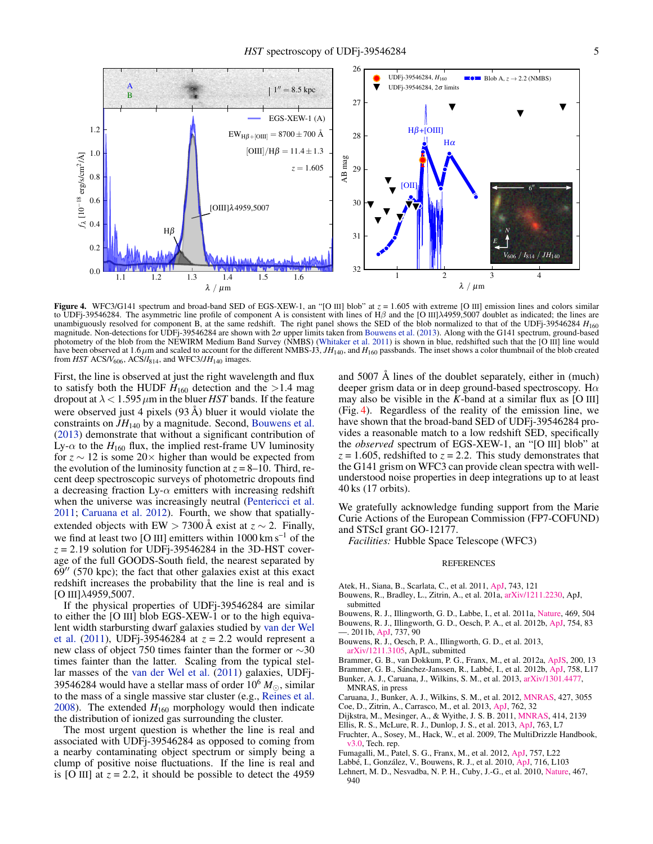

<span id="page-4-16"></span>Figure 4. WFC3/G141 spectrum and broad-band SED of EGS-XEW-1, an "[O III] blob" at  $z = 1.605$  with extreme [O III] emission lines and colors similar to UDFj-39546284. The asymmetric line profile of component A is consistent with lines of Hβ and the [O III] $\lambda$ 4959,5007 doublet as indicated; the lines are unambiguously resolved for component B, at the same redshift. The right panel shows the SED of the blob normalized to that of the UDFj-39546284 *H*<sup>160</sup> magnitude. Non-detections for UDFj-39546284 are shown with  $2\sigma$  upper limits taken from [Bouwens et al.](#page-4-10) [\(2013\)](#page-4-10). Along with the G141 spectrum, ground-based photometry of the blob from the NEWIRM Medium Band Survey (NMBS) [\(Whitaker et al.](#page-5-10) [2011\)](#page-5-10) is shown in blue, redshifted such that the [O III] line would have been observed at  $1.6 \mu$ m and scaled to account for the different NMBS-J3,  $JH_{140}$ , and  $H_{160}$  passbands. The inset shows a color thumbnail of the blob created from  $HST$  ACS/ $V_{606}$ , ACS/ $I_{814}$ , and WFC3/ $JH_{140}$  images.

First, the line is observed at just the right wavelength and flux to satisfy both the HUDF  $H_{160}$  detection and the >1.4 mag dropout at  $\lambda$  < 1.595  $\mu$ m in the bluer *HST* bands. If the feature were observed just 4 pixels (93 Å) bluer it would violate the constraints on *JH*<sup>140</sup> by a magnitude. Second, [Bouwens et al.](#page-4-10) [\(2013\)](#page-4-10) demonstrate that without a significant contribution of Ly- $\alpha$  to the  $H_{160}$  flux, the implied rest-frame UV luminosity for  $z \sim 12$  is some 20× higher than would be expected from the evolution of the luminosity function at  $z = 8-10$ . Third, recent deep spectroscopic surveys of photometric dropouts find a decreasing fraction Ly- $\alpha$  emitters with increasing redshift when the universe was increasingly neutral [\(Pentericci et al.](#page-5-11) [2011;](#page-5-11) [Caruana et al.](#page-4-17) [2012\)](#page-4-17). Fourth, we show that spatiallyextended objects with EW > 7300 Å exist at  $z \sim 2$ . Finally, we find at least two [O III] emitters within 1000 km s<sup>-1</sup> of the  $z = 2.19$  solution for UDFj-39546284 in the 3D-HST coverage of the full GOODS-South field, the nearest separated by  $69''$  (570 kpc); the fact that other galaxies exist at this exact redshift increases the probability that the line is real and is  $[O III]$ λ4959,5007.

If the physical properties of UDFj-39546284 are similar to either the [O III] blob EGS-XEW-1 or to the high equivalent width starbursting dwarf galaxies studied by [van der Wel](#page-5-9) [et al.](#page-5-9) [\(2011\)](#page-5-9), UDFj-39546284 at *z* = 2.2 would represent a new class of object 750 times fainter than the former or ∼30 times fainter than the latter. Scaling from the typical stellar masses of the [van der Wel et al.](#page-5-9) [\(2011\)](#page-5-9) galaxies, UDFj-39546284 would have a stellar mass of order  $10^6 M_{\odot}$ , similar to the mass of a single massive star cluster (e.g., [Reines et al.](#page-5-12) [2008\)](#page-5-12). The extended  $H_{160}$  morphology would then indicate the distribution of ionized gas surrounding the cluster.

The most urgent question is whether the line is real and associated with UDFj-39546284 as opposed to coming from a nearby contaminating object spectrum or simply being a clump of positive noise fluctuations. If the line is real and is [O III] at  $z = 2.2$ , it should be possible to detect the 4959

and 5007 Å lines of the doublet separately, either in (much) deeper grism data or in deep ground-based spectroscopy. H $\alpha$ may also be visible in the  $K$ -band at a similar flux as  $[O III]$ (Fig. [4\)](#page-4-16). Regardless of the reality of the emission line, we have shown that the broad-band SED of UDFj-39546284 provides a reasonable match to a low redshift SED, specifically the *observed* spectrum of EGS-XEW-1, an "[O III] blob" at  $z = 1.605$ , redshifted to  $z = 2.2$ . This study demonstrates that the G141 grism on WFC3 can provide clean spectra with wellunderstood noise properties in deep integrations up to at least 40 ks (17 orbits).

We gratefully acknowledge funding support from the Marie Curie Actions of the European Commission (FP7-COFUND) and STScI grant GO-12177.

*Facilities:* Hubble Space Telescope (WFC3)

#### REFERENCES

- <span id="page-4-15"></span>Atek, H., Siana, B., Scarlata, C., et al. 2011, [ApJ,](http://adsabs.harvard.edu/abs/2011ApJ...743..121A) 743, 121
- <span id="page-4-1"></span>Bouwens, R., Bradley, L., Zitrin, A., et al. 201a, [arXiv/1211.2230,](http://adsabs.harvard.edu/abs/2012arXiv1211.2230B) ApJ, submitted
- <span id="page-4-0"></span>Bouwens, R. J., Illingworth, G. D., Labbe, I., et al. 2011a, [Nature,](http://adsabs.harvard.edu/abs/2011Natur.469..504B) 469, 504
- <span id="page-4-5"></span><span id="page-4-4"></span>Bouwens, R. J., Illingworth, G. D., Oesch, P. A., et al. 2012b, [ApJ,](http://adsabs.harvard.edu/abs/2012ApJ...754...83B) 754, 83
- —. 2011b, [ApJ,](http://adsabs.harvard.edu/abs/2011ApJ...737...90B) 737, 90
- <span id="page-4-10"></span>Bouwens, R. J., Oesch, P. A., Illingworth, G. D., et al. 2013, [arXiv/1211.3105,](http://adsabs.harvard.edu/abs/2012arXiv1211.3105B) ApJL, submitted
- <span id="page-4-11"></span>Brammer, G. B., van Dokkum, P. G., Franx, M., et al. 2012a, [ApJS,](http://adsabs.harvard.edu/abs/2012ApJS..200...13B) 200, 13
- <span id="page-4-12"></span>Brammer, G. B., Sánchez-Janssen, R., Labbé, I., et al. 2012b, [ApJ,](http://adsabs.harvard.edu/abs/2012ApJ...758L..17B) 758, L17
- <span id="page-4-8"></span>Bunker, A. J., Caruana, J., Wilkins, S. M., et al. 2013, [arXiv/1301.4477,](http://adsabs.harvard.edu/abs/2013arXiv1301.4477B) MNRAS, in press
- <span id="page-4-17"></span>Caruana, J., Bunker, A. J., Wilkins, S. M., et al. 2012, [MNRAS,](http://adsabs.harvard.edu/abs/2012MNRAS.427.3055C) 427, 3055
- <span id="page-4-3"></span>Coe, D., Zitrin, A., Carrasco, M., et al. 2013, [ApJ,](http://adsabs.harvard.edu/abs/2013ApJ...762...32C) 762, 32
- <span id="page-4-14"></span>Dijkstra, M., Mesinger, A., & Wyithe, J. S. B. 2011, [MNRAS,](http://ads.astro.puc.cl/abs/2011MNRAS.414.2139D) 414, 2139
- <span id="page-4-13"></span><span id="page-4-2"></span>Ellis, R. S., McLure, R. J., Dunlop, J. S., et al. 2013, [ApJ,](http://adsabs.harvard.edu/abs/2013ApJ...763L...7E) 763, L7 Fruchter, A., Sosey, M., Hack, W., et al. 2009, The MultiDrizzle Handbook, [v3.0,](http://www.stsci.edu/hst/HST_overview/documents/multidrizzle) Tech. rep.
- <span id="page-4-6"></span>Fumagalli, M., Patel, S. G., Franx, M., et al. 2012, [ApJ,](http://adsabs.harvard.edu/abs/2012ApJ...757L..22F) 757, L22
- <span id="page-4-7"></span>Labbé, I., González, V., Bouwens, R. J., et al. 2010, [ApJ,](http://adsabs.harvard.edu/abs/2010ApJ...716L.103L) 716, L103
- <span id="page-4-9"></span>Lehnert, M. D., Nesvadba, N. P. H., Cuby, J.-G., et al. 2010, [Nature,](http://adsabs.harvard.edu/abs/2010Natur.467..940L) 467, 940